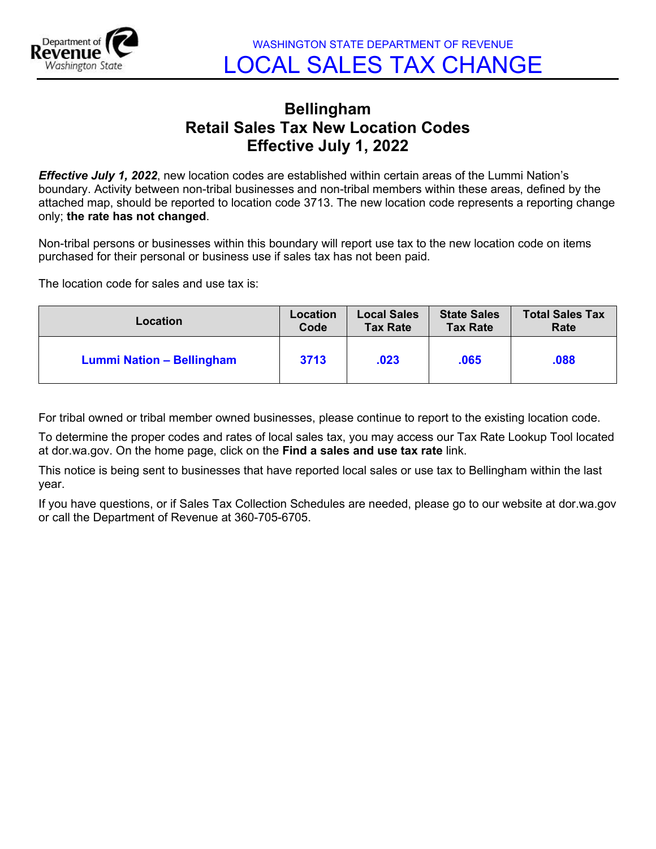

## **Bellingham Retail Sales Tax New Location Codes Effective July 1, 2022**

*Effective July 1, 2022*, new location codes are established within certain areas of the Lummi Nation's boundary. Activity between non-tribal businesses and non-tribal members within these areas, defined by the attached map, should be reported to location code 3713. The new location code represents a reporting change only; **the rate has not changed**.

Non-tribal persons or businesses within this boundary will report use tax to the new location code on items purchased for their personal or business use if sales tax has not been paid.

The location code for sales and use tax is:

| Location                  | <b>Location</b> | <b>Local Sales</b> | <b>State Sales</b> | <b>Total Sales Tax</b> |
|---------------------------|-----------------|--------------------|--------------------|------------------------|
|                           | Code            | <b>Tax Rate</b>    | <b>Tax Rate</b>    | Rate                   |
| Lummi Nation - Bellingham | 3713            | .023               | .065               | 880.                   |

For tribal owned or tribal member owned businesses, please continue to report to the existing location code.

To determine the proper codes and rates of local sales tax, you may access our Tax Rate Lookup Tool located at dor.wa.gov. On the home page, click on the **Find a sales and use tax rate** link.

This notice is being sent to businesses that have reported local sales or use tax to Bellingham within the last year.

If you have questions, or if Sales Tax Collection Schedules are needed, please go to our website at dor.wa.gov or call the Department of Revenue at 360-705-6705.